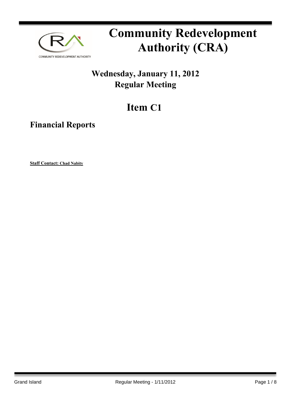

# **Community Redevelopment Authority (CRA)**

### **Wednesday, January 11, 2012 Regular Meeting**

## **Item C1**

**Financial Reports**

**Staff Contact: Chad Nabity**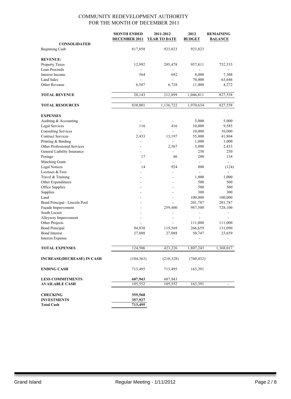|                                                   | <b>MONTH ENDED</b>            | 2011-2012                | 2012                     | <b>REMAINING</b>         |
|---------------------------------------------------|-------------------------------|--------------------------|--------------------------|--------------------------|
|                                                   | DECEMBER 2011                 | <b>YEAR TO DATE</b>      | <b>BUDGET</b>            | <b>BALANCE</b>           |
| <b>CONSOLIDATED</b>                               |                               |                          |                          |                          |
| Beginning Cash                                    | 817,858                       | 923,823                  | 923,823                  |                          |
| <b>REVENUE:</b>                                   |                               |                          |                          |                          |
|                                                   |                               |                          |                          | 752,333                  |
| <b>Property Taxes</b><br>Loan Proceeds            | 12,992                        | 205,478                  | 957,811                  |                          |
| Interest Income                                   | 564                           | 692                      | 8,000                    | 7,308                    |
| <b>Land Sales</b>                                 | $\blacksquare$                | $\mathbf{r}$             |                          |                          |
| Other Revenue                                     | 6,587                         | 6,728                    | 70,000<br>11,000         | 63,646<br>4,272          |
|                                                   |                               |                          |                          |                          |
| <b>TOTAL REVENUE</b>                              | 20,143                        | 212,899                  | 1,046,811                | 827,558                  |
| <b>TOTAL RESOURCES</b>                            | 838,001                       | 1,136,722                | 1,970,634                | 827,558                  |
|                                                   |                               |                          |                          |                          |
| <b>EXPENSES</b>                                   |                               |                          |                          |                          |
| Auditing & Accounting                             | $\blacksquare$                | $\overline{\phantom{a}}$ | 5,000                    | 5,000                    |
| <b>Legal Services</b>                             | 116                           | 416<br>$\overline{a}$    | 10,000                   | 9,585                    |
| <b>Consulting Services</b>                        | $\mathcal{L}_{\mathcal{A}}$   |                          | 10,000                   | 10,000                   |
| <b>Contract Services</b>                          | 2,433                         | 13,197                   | 55,000                   | 41,804                   |
| Printing & Binding<br>Other Professional Services | $\overline{\phantom{0}}$<br>÷ |                          | 1,000                    | 1,000                    |
| General Liability Insurance                       | ٠                             | 2,567                    | 5,000<br>250             | 2,433<br>250             |
| Postage                                           | 17                            | 66                       | 200                      | 134                      |
| Matching Grant                                    |                               |                          | $\overline{\phantom{a}}$ | $\overline{\phantom{0}}$ |
| <b>Legal Notices</b>                              | 14                            | 924                      | 800                      | (124)                    |
| Licenses & Fees                                   |                               | $\overline{a}$           |                          |                          |
| Travel & Training                                 |                               |                          | 1,000                    | 1,000                    |
| Other Expenditures                                |                               |                          | 500                      | 500                      |
| Office Supplies                                   |                               |                          | 500                      | 500                      |
| Supplies                                          |                               | $\overline{a}$           | 300                      | 300                      |
| Land                                              |                               |                          | 100,000                  | 100,000                  |
| Bond Principal - Lincoln Pool                     |                               |                          | 201,787                  | 201,787                  |
| Façade Improvement                                |                               | 259,400                  | 987,500                  | 728,100                  |
| South Locust                                      |                               | ۰                        | $\overline{a}$           | -                        |
| Alleyway Improvement                              | $\overline{\phantom{a}}$      | $\overline{a}$           |                          |                          |
| Other Projects                                    |                               |                          | 111,000                  | 111,000                  |
| <b>Bond Principal</b>                             | 94,838                        | 119,569                  | 266,659                  | 131,090                  |
| <b>Bond Interest</b>                              | 27,088                        | 27,088                   | 50,747                   | 23,659                   |
| <b>Interest Expense</b>                           | $\overline{\phantom{0}}$      | $\overline{a}$           |                          |                          |
| <b>TOTAL EXPENSES</b>                             | 124,506                       | 423,226                  | 1,807,243                | 1,368,017                |
| <b>INCREASE(DECREASE) IN CASH</b>                 | (104, 363)                    | (210, 328)               | (760, 432)               |                          |
|                                                   |                               |                          |                          |                          |
| <b>ENDING CASH</b>                                | 713,495                       | 713,495                  | 163,391                  |                          |
| <b>LESS COMMITMENTS</b>                           | 607,943                       | 607,943                  |                          |                          |
| <b>AVAILABLE CASH</b>                             | 105,552                       | 105,552                  | 163,391                  |                          |
| <b>CHECKING</b>                                   | 355,568                       |                          |                          |                          |
| <b>INVESTMENTS</b>                                | 357,927                       |                          |                          |                          |
| <b>Total Cash</b>                                 | 713,495                       |                          |                          |                          |
|                                                   |                               |                          |                          |                          |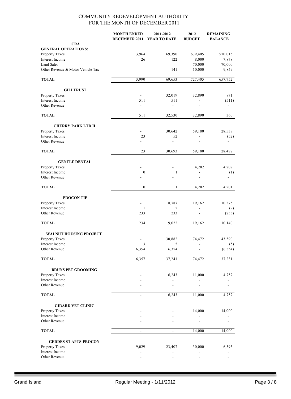|                                   | <b>MONTH ENDED</b><br><b>DECEMBER 2011</b> | 2011-2012<br><b>YEAR TO DATE</b> | 2012<br><b>BUDGET</b> | <b>REMAINING</b><br><b>BALANCE</b> |
|-----------------------------------|--------------------------------------------|----------------------------------|-----------------------|------------------------------------|
| <b>CRA</b>                        |                                            |                                  |                       |                                    |
| <b>GENERAL OPERATIONS:</b>        |                                            |                                  |                       |                                    |
| Property Taxes                    | 3,964                                      | 69,390                           | 639,405               | 570,015                            |
| Interest Income                   | 26                                         | 122                              | 8,000                 | 7,878                              |
| <b>Land Sales</b>                 |                                            | $\mathbb{R}^{\mathbb{Z}}$        | 70,000                | 70,000                             |
| Other Revenue & Motor Vehicle Tax |                                            | 141                              | 10,000                | 9,859                              |
| <b>TOTAL</b>                      | 3,990                                      | 69,653                           | 727,405               | 657,752                            |
| <b>GILI TRUST</b>                 |                                            |                                  |                       |                                    |
| Property Taxes                    | $\blacksquare$                             | 32,019                           | 32,890                | 871                                |
| Interest Income                   | 511                                        | 511                              |                       | (511)                              |
| Other Revenue                     |                                            | ä,                               |                       |                                    |
| <b>TOTAL</b>                      | 511                                        | 32,530                           | 32,890                | 360                                |
| <b>CHERRY PARK LTD II</b>         |                                            |                                  |                       |                                    |
| Property Taxes                    |                                            | 30,642                           | 59,180                | 28,538                             |
| Interest Income                   | 23                                         | 52                               |                       | (52)                               |
| Other Revenue                     | $\overline{a}$                             |                                  |                       |                                    |
| <b>TOTAL</b>                      | 23                                         | 30,693                           | 59,180                | 28,487                             |
| <b>GENTLE DENTAL</b>              |                                            |                                  |                       |                                    |
| Property Taxes                    |                                            |                                  | 4,202                 | 4,202                              |
| Interest Income                   | $\boldsymbol{0}$                           | 1                                |                       | (1)                                |
| Other Revenue                     |                                            |                                  |                       |                                    |
| <b>TOTAL</b>                      | $\mathbf{0}$                               | 1                                | 4,202                 | 4,201                              |
| <b>PROCON TIF</b>                 |                                            |                                  |                       |                                    |
| Property Taxes                    |                                            | 8,787                            | 19,162                | 10,375                             |
| Interest Income                   | $\mathbf{1}$                               | 2                                |                       | (2)                                |
| Other Revenue                     | 233                                        | 233                              | ÷                     | (233)                              |
| <b>TOTAL</b>                      | 234                                        | 9,022                            | 19,162                | 10,140                             |
| <b>WALNUT HOUSING PROJECT</b>     |                                            |                                  |                       |                                    |
| Property Taxes                    |                                            | 30,882                           | 74,472                | 43,590                             |
| Interest Income                   | 3                                          | 5                                |                       | (5)                                |
| Other Revenue                     | 6,354                                      | 6,354                            |                       | (6, 354)                           |
| <b>TOTAL</b>                      | 6,357                                      | 37,241                           | 74,472                | 37,231                             |
| <b>BRUNS PET GROOMING</b>         |                                            |                                  |                       |                                    |
| Property Taxes                    |                                            | 6,243                            | 11,000                | 4,757                              |
| Interest Income                   |                                            |                                  |                       |                                    |
| Other Revenue                     |                                            |                                  |                       |                                    |
| <b>TOTAL</b>                      | $\frac{1}{2}$                              | 6,243                            | 11,000                | 4,757                              |
| <b>GIRARD VET CLINIC</b>          |                                            |                                  |                       |                                    |
| Property Taxes                    |                                            |                                  | 14,000                | 14,000                             |
| Interest Income                   |                                            |                                  |                       |                                    |
| Other Revenue                     |                                            |                                  |                       |                                    |
| <b>TOTAL</b>                      | ÷,                                         | $\overline{a}$                   | 14,000                | 14,000                             |
| <b>GEDDES ST APTS-PROCON</b>      |                                            |                                  |                       |                                    |
| Property Taxes                    | 9,029                                      | 23,407                           | 30,000                | 6,593                              |
| Interest Income                   |                                            |                                  |                       |                                    |
| Other Revenue                     |                                            |                                  |                       |                                    |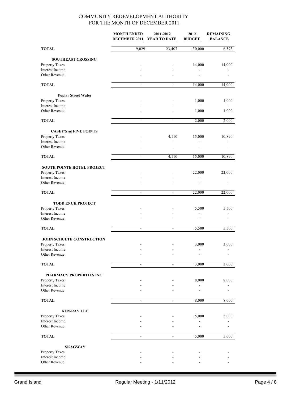|                                      | <b>MONTH ENDED</b><br><b>DECEMBER 2011</b> | 2011-2012<br><b>YEAR TO DATE</b> | 2012<br><b>BUDGET</b> | <b>REMAINING</b><br><b>BALANCE</b> |
|--------------------------------------|--------------------------------------------|----------------------------------|-----------------------|------------------------------------|
| <b>TOTAL</b>                         | 9,029                                      | 23,407                           | 30,000                | 6,593                              |
| <b>SOUTHEAST CROSSING</b>            |                                            |                                  |                       |                                    |
| Property Taxes                       |                                            |                                  | 14,000                | 14,000                             |
| Interest Income                      |                                            |                                  |                       |                                    |
| Other Revenue                        |                                            |                                  |                       |                                    |
| <b>TOTAL</b>                         | $\blacksquare$                             | $\overline{\phantom{a}}$         | 14,000                | 14,000                             |
| <b>Poplar Street Water</b>           |                                            |                                  |                       |                                    |
| Property Taxes                       |                                            |                                  | 1,000                 | 1,000                              |
| Interest Income                      |                                            |                                  |                       |                                    |
| Other Revenue                        |                                            |                                  | 1,000                 | 1,000                              |
| <b>TOTAL</b>                         | $\overline{\phantom{a}}$                   | $\blacksquare$                   | 2,000                 | 2,000                              |
| <b>CASEY'S @ FIVE POINTS</b>         |                                            |                                  |                       |                                    |
| Property Taxes                       |                                            | 4,110                            | 15,000                | 10,890                             |
| Interest Income<br>Other Revenue     |                                            | $\overline{a}$                   |                       |                                    |
| <b>TOTAL</b>                         | $\blacksquare$                             | 4,110                            | 15,000                | 10,890                             |
|                                      |                                            |                                  |                       |                                    |
| <b>SOUTH POINTE HOTEL PROJECT</b>    |                                            |                                  |                       |                                    |
| Property Taxes                       |                                            |                                  | 22,000                | 22,000                             |
| Interest Income                      |                                            |                                  |                       |                                    |
| Other Revenue                        |                                            |                                  |                       |                                    |
| <b>TOTAL</b>                         | $\overline{\phantom{a}}$                   | $\blacksquare$                   | 22,000                | 22,000                             |
| <b>TODD ENCK PROJECT</b>             |                                            |                                  |                       |                                    |
| Property Taxes                       |                                            |                                  | 5,500                 | 5,500                              |
| Interest Income<br>Other Revenue     |                                            |                                  |                       |                                    |
| <b>TOTAL</b>                         |                                            |                                  | 5,500                 |                                    |
|                                      | $\overline{\phantom{a}}$                   |                                  |                       | 5,500                              |
| JOHN SCHULTE CONSTRUCTION            |                                            |                                  |                       |                                    |
| <b>Property Taxes</b>                |                                            |                                  | 3,000                 | 3,000                              |
| Interest Income                      |                                            |                                  |                       |                                    |
| Other Revenue                        |                                            |                                  |                       |                                    |
| <b>TOTAL</b>                         | $\blacksquare$                             | $\overline{\phantom{a}}$         | 3,000                 | 3,000                              |
| PHARMACY PROPERTIES INC              |                                            |                                  |                       |                                    |
| Property Taxes                       |                                            |                                  | 8,000                 | 8,000                              |
| Interest Income<br>Other Revenue     |                                            |                                  |                       |                                    |
| <b>TOTAL</b>                         |                                            |                                  | 8,000                 |                                    |
|                                      | $\blacksquare$                             |                                  |                       | 8,000                              |
| <b>KEN-RAY LLC</b><br>Property Taxes |                                            |                                  | 5,000                 | 5,000                              |
| Interest Income                      |                                            |                                  |                       |                                    |
| Other Revenue                        |                                            |                                  |                       |                                    |
| <b>TOTAL</b>                         | $\overline{\phantom{a}}$                   | $\overline{\phantom{a}}$         | 5,000                 | 5,000                              |
| <b>SKAGWAY</b>                       |                                            |                                  |                       |                                    |
| Property Taxes                       |                                            |                                  |                       |                                    |
| Interest Income                      |                                            |                                  |                       |                                    |
| Other Revenue                        |                                            |                                  |                       |                                    |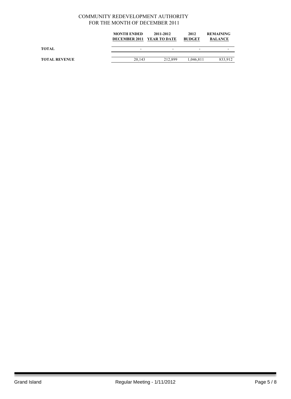|                      | <b>MONTH ENDED</b><br>DECEMBER 2011 YEAR TO DATE | 2011-2012 | 2012<br><b>BUDGET</b> | <b>REMAINING</b><br><b>BALANCE</b> |
|----------------------|--------------------------------------------------|-----------|-----------------------|------------------------------------|
| <b>TOTAL</b>         | -                                                | -         | -                     |                                    |
| <b>TOTAL REVENUE</b> | 20.143                                           | 212.899   | 1.046.811             | 833.912                            |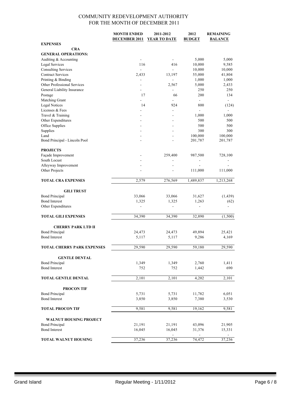|                                          | <b>MONTH ENDED</b><br><b>DECEMBER 2011</b> | 2011-2012<br>YEAR TO DATE | 2012<br><b>BUDGET</b> | <b>REMAINING</b><br><b>BALANCE</b> |
|------------------------------------------|--------------------------------------------|---------------------------|-----------------------|------------------------------------|
| <b>EXPENSES</b>                          |                                            |                           |                       |                                    |
| <b>CRA</b><br><b>GENERAL OPERATIONS:</b> |                                            |                           |                       |                                    |
| Auditing & Accounting                    |                                            |                           | 5,000                 | 5,000                              |
| Legal Services                           | 116                                        | 416                       | 10,000                | 9,585                              |
| <b>Consulting Services</b>               |                                            |                           | 10,000                | 10,000                             |
| <b>Contract Services</b>                 | 2,433                                      | 13,197                    | 55,000                | 41,804                             |
| Printing & Binding                       |                                            | $\overline{\phantom{a}}$  | 1,000                 | 1,000                              |
| Other Professional Services              | L.                                         | 2,567                     | 5,000                 | 2,433                              |
| General Liability Insurance              | $\overline{\phantom{0}}$                   | $\blacksquare$            | 250                   | 250                                |
| Postage                                  | 17                                         | 66                        | 200                   | 134                                |
| Matching Grant                           | ٠                                          | $\blacksquare$            | $\mathbf{r}$          | $\sim$                             |
| <b>Legal Notices</b>                     | 14                                         | 924                       | 800                   | (124)                              |
| Licenses & Fees                          |                                            | $\overline{\phantom{a}}$  | $\overline{a}$        |                                    |
| Travel & Training                        |                                            | $\overline{\phantom{a}}$  | 1,000                 | 1,000                              |
| Other Expenditures                       |                                            |                           | 500                   | 500                                |
| Office Supplies                          |                                            | $\blacksquare$            | 500                   | 500                                |
| Supplies                                 |                                            |                           | 300                   | 300                                |
| Land                                     | ٠                                          | $\overline{a}$            | 100,000               | 100,000                            |
| Bond Principal - Lincoln Pool            |                                            |                           | 201,787               | 201,787                            |
|                                          |                                            |                           |                       |                                    |
| <b>PROJECTS</b>                          |                                            |                           |                       |                                    |
| Façade Improvement                       |                                            | 259,400                   | 987,500               | 728,100                            |
| South Locust                             |                                            | $\overline{\phantom{0}}$  |                       |                                    |
| Alleyway Improvement                     |                                            |                           |                       |                                    |
| Other Projects                           |                                            |                           | 111,000               | 111,000                            |
| <b>TOTAL CRA EXPENSES</b>                | 2,579                                      | 276,569                   | 1,489,837             | 1,213,268                          |
|                                          |                                            |                           |                       |                                    |
| <b>GILI TRUST</b>                        |                                            |                           |                       |                                    |
| <b>Bond Principal</b>                    | 33,066                                     | 33,066                    | 31,627                | (1, 439)                           |
| <b>Bond Interest</b>                     | 1,325                                      | 1,325                     | 1,263                 | (62)                               |
| Other Expenditures                       |                                            |                           |                       |                                    |
|                                          |                                            |                           |                       |                                    |
| <b>TOTAL GILI EXPENSES</b>               | 34,390                                     | 34,390                    | 32,890                | (1,500)                            |
| <b>CHERRY PARK LTD II</b>                |                                            |                           |                       |                                    |
| <b>Bond Principal</b>                    | 24,473                                     | 24,473                    | 49,894                | 25,421                             |
| <b>Bond Interest</b>                     | 5,117                                      | 5,117                     | 9,286                 | 4,169                              |
|                                          |                                            |                           |                       |                                    |
| <b>TOTAL CHERRY PARK EXPENSES</b>        | 29,590                                     | 29,590                    | 59,180                | 29,590                             |
|                                          |                                            |                           |                       |                                    |
| <b>GENTLE DENTAL</b>                     |                                            |                           |                       |                                    |
| <b>Bond Principal</b>                    | 1,349                                      | 1,349                     | 2,760                 | 1,411                              |
| <b>Bond Interest</b>                     | 752                                        | 752                       | 1,442                 | 690                                |
| <b>TOTAL GENTLE DENTAL</b>               | 2,101                                      | 2,101                     | 4,202                 | 2,101                              |
|                                          |                                            |                           |                       |                                    |
| <b>PROCON TIF</b>                        |                                            |                           |                       |                                    |
| <b>Bond Principal</b>                    | 5,731                                      | 5,731                     | 11,782                | 6,051                              |
| <b>Bond Interest</b>                     | 3,850                                      | 3,850                     | 7,380                 | 3,530                              |
|                                          |                                            |                           |                       |                                    |
| <b>TOTAL PROCON TIF</b>                  | 9,581                                      | 9,581                     | 19,162                | 9,581                              |
| <b>WALNUT HOUSING PROJECT</b>            |                                            |                           |                       |                                    |
| <b>Bond Principal</b>                    | 21,191                                     | 21,191                    | 43,096                | 21,905                             |
| <b>Bond Interest</b>                     | 16,045                                     | 16,045                    | 31,376                | 15,331                             |
|                                          |                                            |                           |                       |                                    |
| TOTAL WALNUT HOUSING                     | 37,236                                     | 37,236                    | 74,472                | 37,236                             |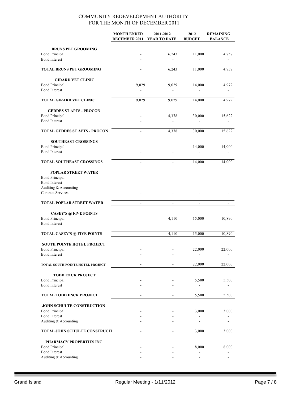|                                                  | <b>MONTH ENDED</b>       | 2011-2012                | 2012                     | <b>REMAINING</b> |
|--------------------------------------------------|--------------------------|--------------------------|--------------------------|------------------|
|                                                  | <b>DECEMBER 2011</b>     | YEAR TO DATE             | <b>BUDGET</b>            | <b>BALANCE</b>   |
| <b>BRUNS PET GROOMING</b>                        |                          |                          |                          |                  |
| <b>Bond Principal</b>                            |                          | 6,243                    | 11,000                   | 4,757            |
| <b>Bond Interest</b>                             |                          |                          |                          |                  |
| <b>TOTAL BRUNS PET GROOMING</b>                  | $\blacksquare$           | 6,243                    | 11,000                   | 4,757            |
| <b>GIRARD VET CLINIC</b>                         |                          |                          |                          |                  |
| <b>Bond Principal</b>                            | 9,029                    | 9,029                    | 14,000                   | 4,972            |
| <b>Bond Interest</b>                             | $\overline{\phantom{a}}$ | $\frac{1}{2}$            |                          | $\overline{a}$   |
| <b>TOTAL GIRARD VET CLINIC</b>                   | 9,029                    | 9,029                    | 14,000                   | 4,972            |
| <b>GEDDES ST APTS - PROCON</b>                   |                          |                          |                          |                  |
| <b>Bond Principal</b>                            |                          | 14,378                   | 30,000                   | 15,622           |
| <b>Bond Interest</b>                             |                          |                          |                          |                  |
| <b>TOTAL GEDDES ST APTS - PROCON</b>             | $\blacksquare$           | 14,378                   | 30,000                   | 15,622           |
|                                                  |                          |                          |                          |                  |
| <b>SOUTHEAST CROSSINGS</b>                       |                          |                          |                          |                  |
| <b>Bond Principal</b><br><b>Bond Interest</b>    |                          |                          | 14,000                   | 14,000           |
|                                                  |                          |                          |                          |                  |
| <b>TOTAL SOUTHEAST CROSSINGS</b>                 | $\blacksquare$           | $\overline{\phantom{a}}$ | 14,000                   | 14,000           |
| <b>POPLAR STREET WATER</b>                       |                          |                          |                          |                  |
| <b>Bond Principal</b>                            |                          |                          |                          |                  |
| <b>Bond Interest</b>                             |                          |                          |                          |                  |
| Auditing & Accounting                            |                          |                          |                          |                  |
| <b>Contract Services</b>                         |                          |                          |                          |                  |
| <b>TOTAL POPLAR STREET WATER</b>                 | ÷,                       |                          |                          |                  |
| <b>CASEY'S @ FIVE POINTS</b>                     |                          |                          |                          |                  |
| <b>Bond Principal</b>                            |                          | 4,110                    | 15,000                   | 10,890           |
| <b>Bond Interest</b>                             |                          |                          |                          |                  |
| <b>TOTAL CASEY'S @ FIVE POINTS</b>               | $\frac{1}{2}$            | 4,110                    | 15,000                   | 10,890           |
|                                                  |                          |                          |                          |                  |
| <b>SOUTH POINTE HOTEL PROJECT</b>                |                          |                          |                          |                  |
| <b>Bond Principal</b><br><b>Bond Interest</b>    |                          |                          | 22,000                   | 22,000           |
|                                                  |                          |                          |                          |                  |
| TOTAL SOUTH POINTE HOTEL PROJECT                 | $\overline{\phantom{a}}$ | $\overline{\phantom{a}}$ | 22,000                   | 22,000           |
| <b>TODD ENCK PROJECT</b>                         |                          |                          |                          |                  |
| <b>Bond Principal</b>                            |                          |                          | 5,500                    | 5,500            |
| <b>Bond Interest</b>                             |                          |                          |                          |                  |
| <b>TOTAL TODD ENCK PROJECT</b>                   | $\overline{\phantom{a}}$ | $\overline{\phantom{a}}$ | 5,500                    | 5,500            |
| <b>JOHN SCHULTE CONSTRUCTION</b>                 |                          |                          |                          |                  |
| <b>Bond Principal</b>                            |                          |                          | 3,000                    | 3,000            |
| <b>Bond Interest</b>                             |                          |                          | $\overline{\phantom{m}}$ |                  |
| Auditing & Accounting                            |                          |                          |                          |                  |
| TOTAL JOHN SCHULTE CONSTRUCIT                    | $\overline{\phantom{m}}$ |                          | 3,000                    | 3,000            |
|                                                  |                          |                          |                          |                  |
| PHARMACY PROPERTIES INC<br><b>Bond Principal</b> |                          |                          | 8,000                    | 8,000            |
| <b>Bond Interest</b>                             |                          |                          |                          |                  |
| Auditing & Accounting                            |                          |                          |                          |                  |